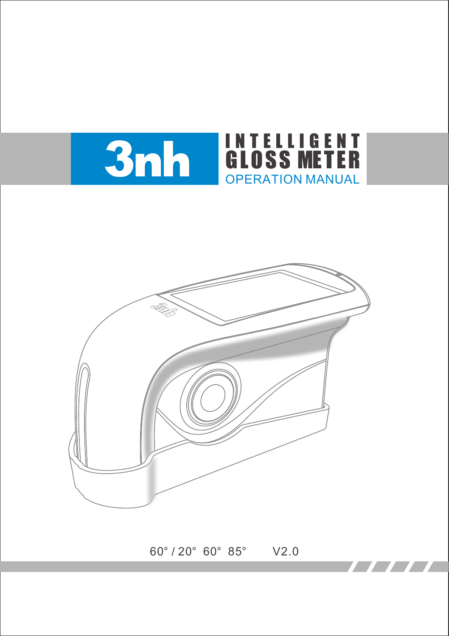



60° / 20° 60° 85° V2.0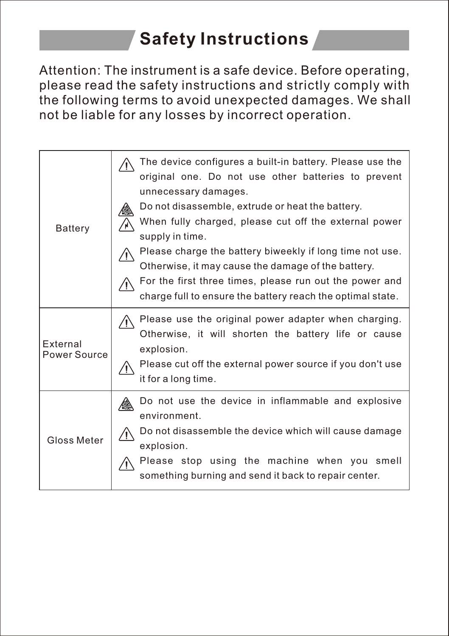# **Safety Instructions**

Attention: The instrument is a safe device. Before operating, please read the safety instructions and strictly comply with the following terms to avoid unexpected damages. We shall not be liable for any losses by incorrect operation.

| <b>Battery</b>                  | The device configures a built-in battery. Please use the<br>original one. Do not use other batteries to prevent<br>unnecessary damages.<br>Do not disassemble, extrude or heat the battery.<br>When fully charged, please cut off the external power<br>supply in time.<br>Please charge the battery biweekly if long time not use.<br>Otherwise, it may cause the damage of the battery.<br>For the first three times, please run out the power and<br>charge full to ensure the battery reach the optimal state. |
|---------------------------------|--------------------------------------------------------------------------------------------------------------------------------------------------------------------------------------------------------------------------------------------------------------------------------------------------------------------------------------------------------------------------------------------------------------------------------------------------------------------------------------------------------------------|
| <b>External</b><br>Power Source | Please use the original power adapter when charging.<br>Otherwise, it will shorten the battery life or cause<br>explosion.<br>Please cut off the external power source if you don't use<br>it for a long time.                                                                                                                                                                                                                                                                                                     |
| Gloss Meter                     | Do not use the device in inflammable and explosive<br>environment.<br>Do not disassemble the device which will cause damage<br>explosion.<br>Please stop using the machine when you smell<br>something burning and send it back to repair center.                                                                                                                                                                                                                                                                  |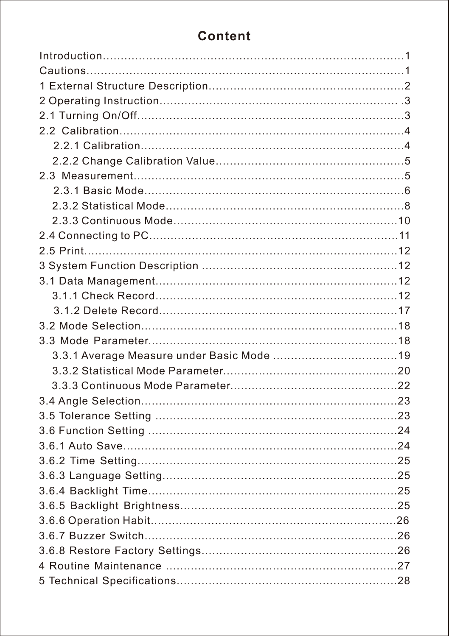## **Content**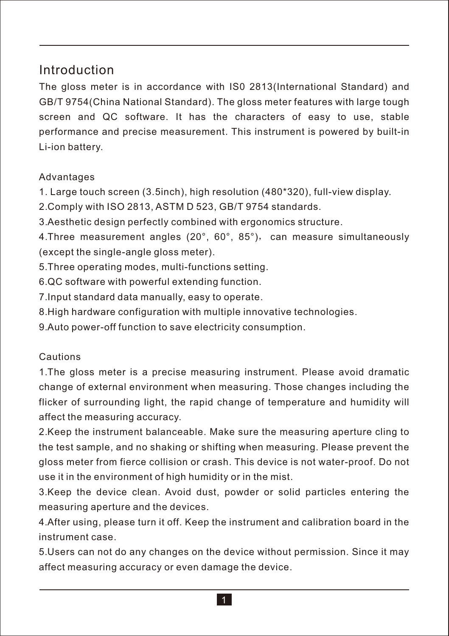## Introduction

The gloss meter is in accordance with IS0 2813(International Standard) and GB/T 9754(China National Standard). The gloss meter features with large tough screen and QC software. It has the characters of easy to use, stable performance and precise measurement. This instrument is powered by built-in Li-ion battery.

#### Advantages

1. Large touch screen (3.5inch), high resolution (480\*320), full-view display.

2. Comply with ISO 2813, ASTM D 523, GB/T 9754 standards.

3. Aesthetic design perfectly combined with ergonomics structure.

4. Three measurement angles (20°, 60°, 85°), can measure simultaneously (except the single-angle gloss meter).

5. Three operating modes, multi-functions setting.

6. QC software with powerful extending function.

7. Input standard data manually, easy to operate.

8. High hardware configuration with multiple innovative technologies.

9. Auto power-off function to save electricity consumption.

#### Cautions

1. The gloss meter is a precise measuring instrument. Please avoid dramatic change of external environment when measuring. Those changes including the flicker of surrounding light, the rapid change of temperature and humidity will affect the measuring accuracy.

2. Keep the instrument balanceable. Make sure the measuring aperture cling to the test sample, and no shaking or shifting when measuring. Please prevent the gloss meter from fierce collision or crash. This device is not water-proof. Do not use it in the environment of high humidity or in the mist.

3. Keep the device clean. Avoid dust, powder or solid particles entering the measuring aperture and the devices.

4. After using, please turn it off. Keep the instrument and calibration board in the instrument case.

5. Users can not do any changes on the device without permission. Since it may affect measuring accuracy or even damage the device.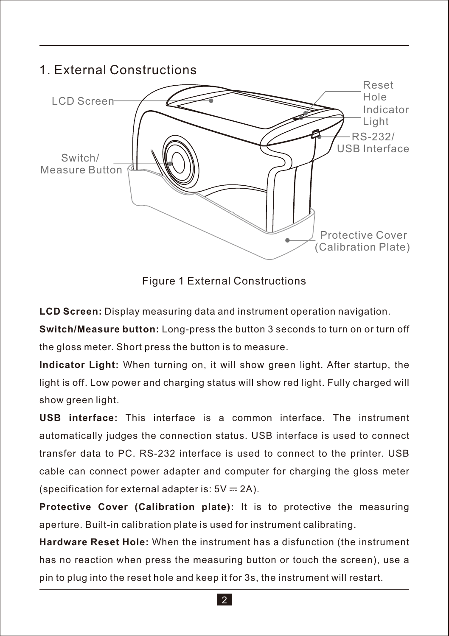## 1. External Constructions



Figure 1 External Constructions

**LCD Screen:** Display measuring data and instrument operation navigation.

**Switch/Measure button:** Long-press the button 3 seconds to turn on or turn off the gloss meter. Short press the button is to measure.

**Indicator Light:** When turning on, it will show green light. After startup, the light is off. Low power and charging status will show red light. Fully charged will show green light.

**USB interface:** This interface is a common interface. The instrument automatically judges the connection status. USB interface is used to connect transfer data to PC. RS-232 interface is used to connect to the printer. USB cable can connect power adapter and computer for charging the gloss meter (specification for external adapter is:  $5V = 2A$ ).

**Protective Cover (Calibration plate):** It is to protective the measuring aperture. Built-in calibration plate is used for instrument calibrating.

**Hardware Reset Hole:** When the instrument has a disfunction (the instrument has no reaction when press the measuring button or touch the screen), use a pin to plug into the reset hole and keep it for 3s, the instrument will restart.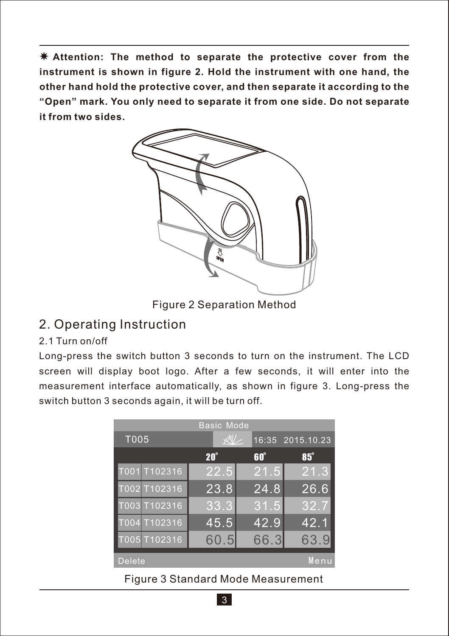**Attention: The method to separate the protective cover from the instrument is shown in figure 2. Hold the instrument with one hand, the other hand hold the protective cover, and then separate it according to the "Open" mark. You only need to separate it from one side. Do not separate it from two sides.**



Figure 2 Separation Method

## 2. Operating Instruction

## 2.1 Turn on/off

Long-press the switch button 3 seconds to turn on the instrument. The LCD screen will display boot logo. After a few seconds, it will enter into the measurement interface automatically, as shown in figure 3. Long-press the switch button 3 seconds again, it will be turn off.

| <b>Basic Mode</b> |              |            |                  |  |  |  |  |  |
|-------------------|--------------|------------|------------------|--|--|--|--|--|
| T005              | $\mathbb{R}$ |            | 16:35 2015.10.23 |  |  |  |  |  |
|                   | $20^\circ$   | $60^\circ$ | 85°              |  |  |  |  |  |
| T001 T102316      | 22.5         | 21.5       | 21.3             |  |  |  |  |  |
| T002 T102316      | 23.8         | 24.8       | 26.6             |  |  |  |  |  |
| T003 T102316      | 33.3         | 31.5       | 32.7             |  |  |  |  |  |
| T004 T102316      | 45.5         | 42.9       | 42.1             |  |  |  |  |  |
| T005 T102316      | 60.5         | 66.3       | 63.9             |  |  |  |  |  |
| <b>Delete</b>     |              |            | Menu             |  |  |  |  |  |

Figure 3 Standard Mode Measurement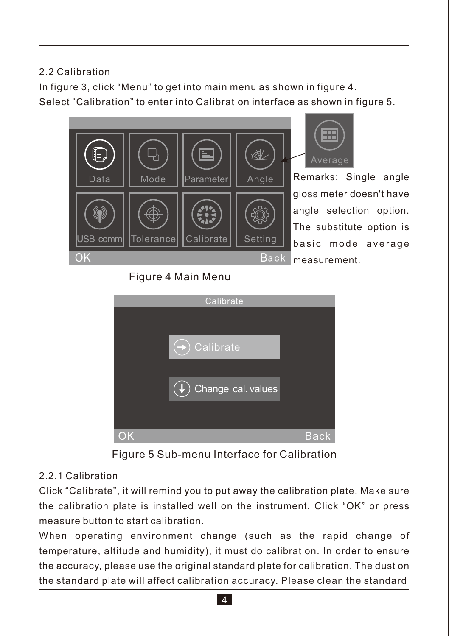## 2.2 Calibration

In figure 3, click "Menu" to get into main menu as shown in figure 4. Select "Calibration" to enter into Calibration interface as shown in figure 5.



Remarks: Single angle Average

gloss meter doesn't have angle selection option. The substitute option is basic mode average

## Figure 4 Main Menu



Figure 5 Sub-menu Interface for Calibration

#### 2.2.1 Calibration

Click "Calibrate", it will remind you to put away the calibration plate. Make sure the calibration plate is installed well on the instrument. Click "OK" or press measure button to start calibration.

When operating environment change (such as the rapid change of temperature, altitude and humidity), it must do calibration. In order to ensure the accuracy, please use the original standard plate for calibration. The dust on the standard plate will affect calibration accuracy. Please clean the standard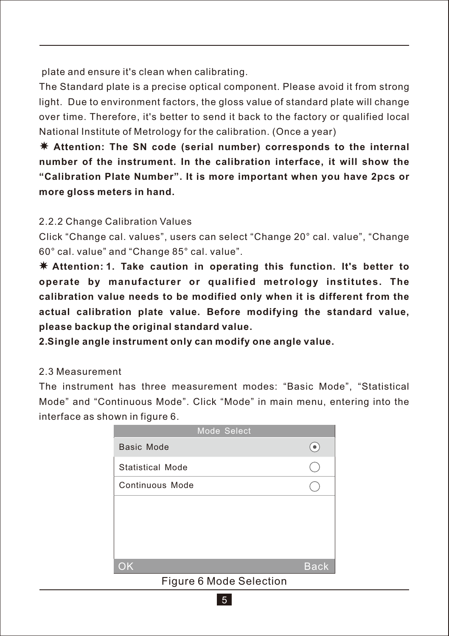plate and ensure it's clean when calibrating.

The Standard plate is a precise optical component. Please avoid it from strong light. Due to environment factors, the gloss value of standard plate will change over time. Therefore, it's better to send it back to the factory or qualified local National Institute of Metrology for the calibration. (Once a year)

**Attention: The SN code (serial number) corresponds to the internal number of the instrument. In the calibration interface, it will show the "Calibration Plate Number". It is more important when you have 2pcs or more gloss meters in hand.**

#### 2.2.2 Change Calibration Values

Click "Change cal. values", users can select "Change 20° cal. value", "Change 60° cal. value" and "Change 85° cal. value".

 **Attention: 1. Take caution in operating this function. It's better to operate by manufacturer or qualified metrology institutes. The calibration value needs to be modified only when it is different from the actual calibration plate value. Before modifying the standard value, please backup the original standard value.**

**2. Single angle instrument only can modify one angle value.** 

#### 2.3 Measurement

The instrument has three measurement modes: "Basic Mode", "Statistical Mode" and "Continuous Mode". Click "Mode" in main menu, entering into the interface as shown in figure 6.



Figure 6 Mode Selection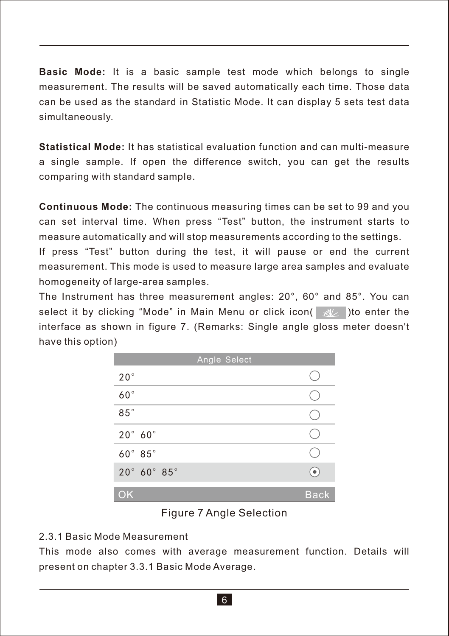**Basic Mode:** It is a basic sample test mode which belongs to single measurement. The results will be saved automatically each time. Those data can be used as the standard in Statistic Mode. It can display 5 sets test data simultaneously.

**Statistical Mode:** It has statistical evaluation function and can multi-measure a single sample. If open the difference switch, you can get the results comparing with standard sample.

**Continuous Mode:** The continuous measuring times can be set to 99 and you can set interval time. When press "Test" button, the instrument starts to measure automatically and will stop measurements according to the settings.

If press "Test" button during the test, it will pause or end the current measurement. This mode is used to measure large area samples and evaluate homogeneity of large-area samples.

The Instrument has three measurement angles: 20°, 60° and 85°. You can select it by clicking "Mode" in Main Menu or click icon( $\gg$ ) to enter the interface as shown in figure 7. (Remarks: Single angle gloss meter doesn't have this option)

| Angle Select           |             |
|------------------------|-------------|
| $20^{\circ}$           |             |
| $60^\circ$             |             |
| $85^{\circ}$           |             |
| $20^\circ$ 60 $^\circ$ |             |
| 60° 85°                |             |
| 20° 60° 85°            |             |
| OK                     | <b>Back</b> |

#### Figure 7 Angle Selection

#### 2.3.1 Basic Mode Measurement

This mode also comes with average measurement function. Details will present on chapter 3.3.1 Basic Mode Average.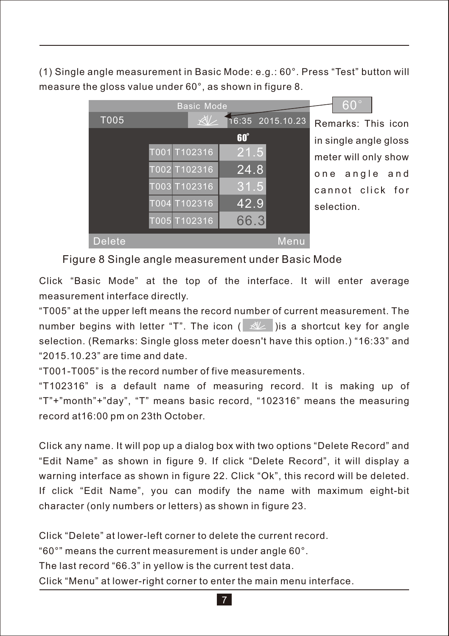(1) Single angle measurement in Basic Mode: e.g.: 60°. Press "Test" button will measure the gloss value under 60°, as shown in figure 8.



Remarks: This icon in single angle gloss meter will only show one angle and cannot click for selection.

60°

Figure 8 Single angle measurement under Basic Mode

Click "Basic Mode" at the top of the interface. It will enter average measurement interface directly.

"T005" at the upper left means the record number of current measurement. The number begins with letter "T". The icon  $\left( \mathbb{R}^2 \right)$  is a shortcut key for angle selection. (Remarks: Single gloss meter doesn't have this option.) "16:33" and "2015.10.23" are time and date.

"T001-T005" is the record number of five measurements.

"T102316" is a default name of measuring record. It is making up of "T"+"month"+"day", "T" means basic record, "102316" means the measuring record at16:00 pm on 23th October.

Click any name. It will pop up a dialog box with two options "Delete Record" and "Edit Name" as shown in figure 9. If click "Delete Record", it will display a warning interface as shown in figure 22. Click "Ok", this record will be deleted. If click "Edit Name", you can modify the name with maximum eight-bit character (only numbers or letters) as shown in figure 23.

Click "Delete" at lower-left corner to delete the current record. "60°" means the current measurement is under angle 60°. The last record "66.3" in yellow is the current test data.

Click "Menu" at lower-right corner to enter the main menu interface.

7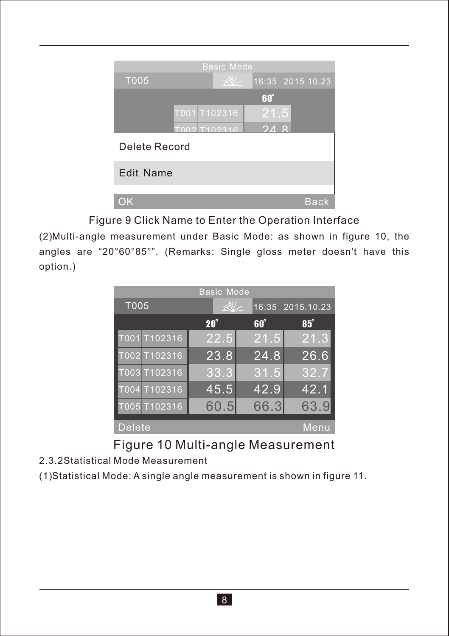

Figure 9 Click Name to Enter the Operation Interface

(2) Multi-angle measurement under Basic Mode: as shown in figure 10, the angles are "20°60°85°". (Remarks: Single gloss meter doesn't have this option.)

| <b>Basic Mode</b> |             |            |                  |            |      |  |  |  |
|-------------------|-------------|------------|------------------|------------|------|--|--|--|
| T005              | $\forall t$ |            | 16:35 2015.10.23 |            |      |  |  |  |
|                   |             | $20^\circ$ |                  | $60^\circ$ | 85°  |  |  |  |
| T001 T102316      |             | 22.5       |                  | 21.5       | 21.3 |  |  |  |
| T002 T102316      |             | 23.8       |                  | 24.8       | 26.6 |  |  |  |
| T003 T102316      |             | 33.3       |                  | 31.5       | 32.7 |  |  |  |
| T004 T102316      |             | 45.5       |                  | 42.9       | 42.1 |  |  |  |
| T005 T102316      |             | 60.5       |                  | 66.3       | 63.9 |  |  |  |
| <b>Delete</b>     |             |            |                  |            | Menu |  |  |  |

Figure 10 Multi-angle Measurement

2.3.2Statistical Mode Measurement

(1) Statistical Mode: A single angle measurement is shown in figure 11.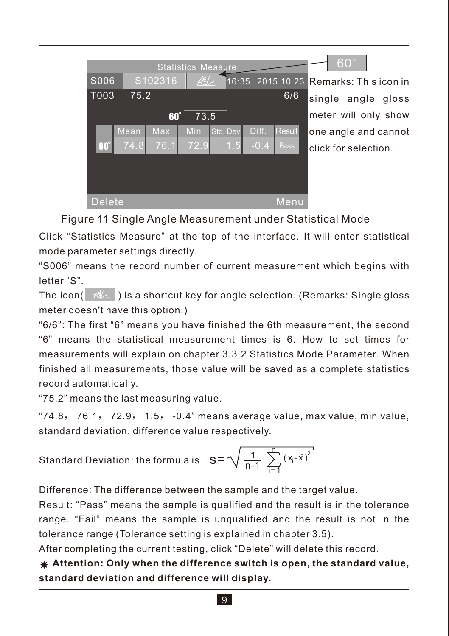|        |      |         | <b>Statistics Measure</b> |          |        |                    | $60^{\circ}$          |
|--------|------|---------|---------------------------|----------|--------|--------------------|-----------------------|
| S006   |      | S102316 | $\overline{\mathbb{X}}$   |          |        | $16:35$ 2015.10.23 | Remarks: This icon in |
| T003   | 75.2 |         |                           |          |        | 6/6                | single angle gloss    |
|        |      | 60°     | 73.5                      |          |        |                    | meter will only show  |
|        | Mean | Max     | Min                       | Std. Dev | Diff.  | <b>Result</b>      | one angle and cannot  |
| 60     | 74.8 | 76.1    | 72.9                      | 1.5      | $-0.4$ | Pass               | click for selection.  |
|        |      |         |                           |          |        |                    |                       |
|        |      |         |                           |          |        |                    |                       |
| Delete |      |         |                           |          |        | Menu               |                       |

Figure 11 Single Angle Measurement under Statistical Mode

Click "Statistics Measure" at the top of the interface. It will enter statistical mode parameter settings directly.

"S006" means the record number of current measurement which begins with letter "S".

The icon( $\mathbb{Z}$ ) is a shortcut key for angle selection. (Remarks: Single gloss meter doesn't have this option.)

"6/6": The first "6" means you have finished the 6th measurement, the second "6" means the statistical measurement times is 6. How to set times for measurements will explain on chapter 3.3.2 Statistics Mode Parameter. When finished all measurements, those value will be saved as a complete statistics record automatically.

"75.2" means the last measuring value.

 $"74.8,76.1,72.9,1.5, -0.4"$  means average value, max value, min value, standard deviation, difference value respectively.

Standard Deviation: the formula is 
$$
S = \sqrt{\frac{1}{n-1} \sum_{i=1}^{n} (x_i - \bar{x})^2}
$$

Difference: The difference between the sample and the target value.

Result: "Pass" means the sample is qualified and the result is in the tolerance range. "Fail" means the sample is unqualified and the result is not in the tolerance range (Tolerance setting is explained in chapter 3.5).

After completing the current testing, click "Delete" will delete this record.

**Attention: Only when the difference switch is open, the standard value, standard deviation and difference will display.**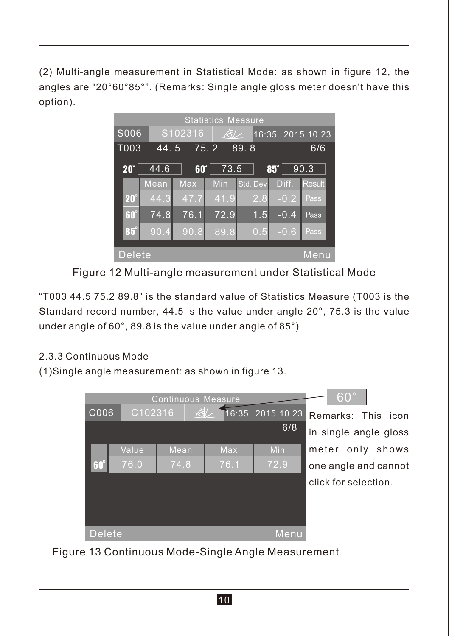(2) Multi-angle measurement in Statistical Mode: as shown in figure 12, the angles are "20°60°85°". (Remarks: Single angle gloss meter doesn't have this option).

|               | <b>Statistics Measure</b> |            |              |          |        |                  |  |  |
|---------------|---------------------------|------------|--------------|----------|--------|------------------|--|--|
| S006          |                           | S102316    | $\mathbb{X}$ |          |        | 16:35 2015.10.23 |  |  |
| T003          | 44.5                      |            | 75.2         | 89.8     |        | 6/6              |  |  |
| $20^\circ$    | 44.6                      | $60^\circ$ | 73.5         |          | 85°    | 90.3             |  |  |
|               | Mean                      | Max        | Min          | Std. Dev | Diff.  | <b>Result</b>    |  |  |
| $20^\circ$    | 44.3                      | 47.7       | 41.9         | 2.8      | $-0.2$ | Pass             |  |  |
| $60^\circ$    | 74.8                      | 76.1       | 72.9         | 1.5      | $-0.4$ | Pass.            |  |  |
| $85^\circ$    | 90.4                      | 90.8       | 89.8         | 0.5      | $-0.6$ | Pass             |  |  |
| <b>Delete</b> |                           |            |              |          |        | Menu             |  |  |

Figure 12 Multi-angle measurement under Statistical Mode

"T003 44.5 75.2 89.8" is the standard value of Statistics Measure (T003 is the Standard record number, 44.5 is the value under angle 20°, 75.3 is the value under angle of 60°, 89.8 is the value under angle of 85°)

## 2.3.3 Continuous Mode

(1)Single angle measurement: as shown in figure 13.



Figure 13 Continuous Mode-Single Angle Measurement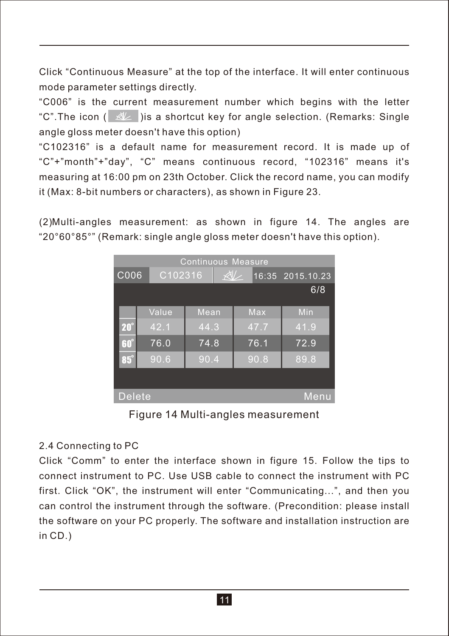Click "Continuous Measure" at the top of the interface. It will enter continuous mode parameter settings directly.

"C006" is the current measurement number which begins with the letter "C".The icon ( $\mathbb{R}$ ) is a shortcut key for angle selection. (Remarks: Single angle gloss meter doesn't have this option)

"C102316" is a default name for measurement record. It is made up of "C"+"month"+"day", "C" means continuous record, "102316" means it's measuring at 16:00 pm on 23th October. Click the record name, you can modify it (Max: 8-bit numbers or characters), as shown in Figure 23.

(2) Multi-angles measurement: as shown in figure 14. The angles are "20°60°85°" (Remark: single angle gloss meter doesn't have this option).

|               | <b>Continuous Measure</b> |                         |  |  |      |                  |  |  |
|---------------|---------------------------|-------------------------|--|--|------|------------------|--|--|
| C006          |                           | $\mathbb{X}$<br>C102316 |  |  |      | 16:35 2015.10.23 |  |  |
|               |                           |                         |  |  |      | 6/8              |  |  |
|               | Value                     | Mean                    |  |  | Max  | Min              |  |  |
|               |                           |                         |  |  |      |                  |  |  |
| $20^\circ$    | 42.1                      | 44.3                    |  |  | 47.7 | 41.9             |  |  |
| $60^\circ$    | 76.0                      | 74.8                    |  |  | 76.1 | 72.9             |  |  |
| $85^\circ$    | 90.6                      | 90.4                    |  |  | 90.8 | 89.8             |  |  |
|               |                           |                         |  |  |      |                  |  |  |
|               |                           |                         |  |  |      |                  |  |  |
| <b>Delete</b> |                           |                         |  |  |      | Menu             |  |  |

Figure 14 Multi-angles measurement

#### 2.4 Connecting to PC

Click "Comm" to enter the interface shown in figure 15. Follow the tips to connect instrument to PC. Use USB cable to connect the instrument with PC first. Click "OK", the instrument will enter "Communicating...", and then you can control the instrument through the software. (Precondition: please install the software on your PC properly. The software and installation instruction are in CD.)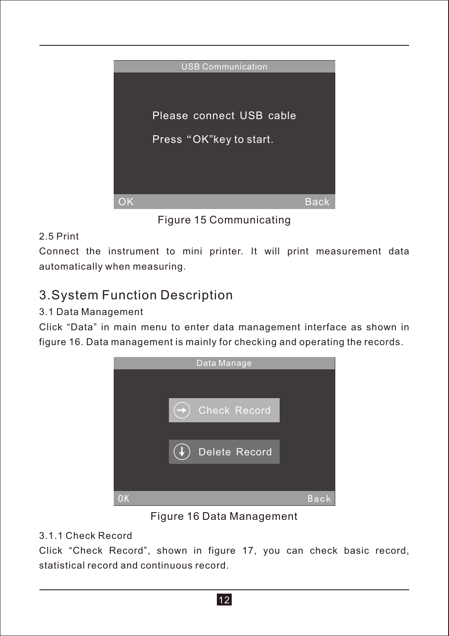

Figure 15 Communicating

## 2.5 Print

Connect the instrument to mini printer. It will print measurement data automatically when measuring.

## 3.System Function Description

## 3.1 Data Management

Click "Data" in main menu to enter data management interface as shown in figure 16. Data management is mainly for checking and operating the records.



Figure 16 Data Management

## 3.1.1 Check Record

Click "Check Record", shown in figure 17, you can check basic record, statistical record and continuous record.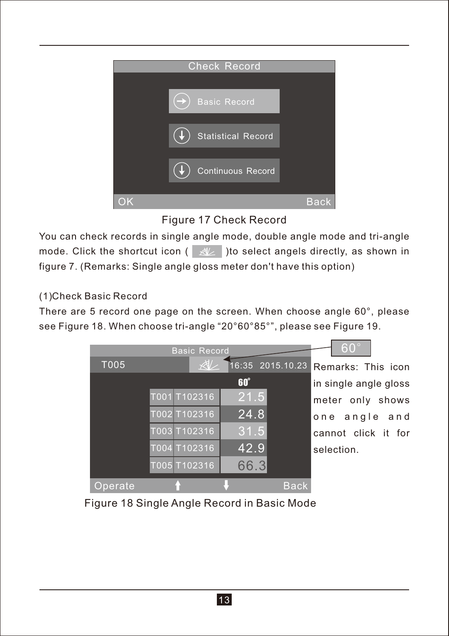

## Figure 17 Check Record

You can check records in single angle mode, double angle mode and tri-angle mode. Click the shortcut icon ( $\ll$ )to select angels directly, as shown in figure 7. (Remarks: Single angle gloss meter don't have this option)

#### (1) Check Basic Record

There are 5 record one page on the screen. When choose angle 60°, please see Figure 18. When choose tri-angle "20°60°85°", please see Figure 19.



Figure 18 Single Angle Record in Basic Mode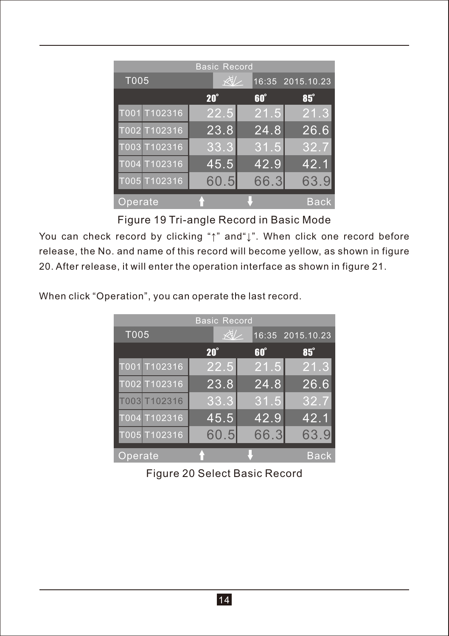|              | <b>Basic Record</b> |      |                  |
|--------------|---------------------|------|------------------|
| T005         | 处                   |      | 16:35 2015.10.23 |
|              | $20^\circ$          | 60°  | 85°              |
| T001 T102316 | 22.5                | 21.5 | 21.3             |
| T002 T102316 | 23.8                | 24.8 | 26.6             |
| T003 T102316 | 33.3                | 31.5 | 32.7             |
| T004 T102316 | 45.5                | 42.9 | 42.1             |
| T005 T102316 | 60.5                | 66.3 | 63.9             |
| Operate      |                     |      | Back             |

Figure 19 Tri-angle Record in Basic Mode

You can check record by clicking "↑" and"↓". When click one record before release, the No. and name of this record will become yellow, as shown in figure 20. After release, it will enter the operation interface as shown in figure 21.

When click "Operation", you can operate the last record.

|              | <b>Basic Record</b> |            |                  |
|--------------|---------------------|------------|------------------|
| T005         | $\sqrt{2}$          |            | 16:35 2015.10.23 |
|              | $20^\circ$          | $60^\circ$ | 85°              |
| T001 T102316 | 22.5                | 21.5       | 21.3             |
| T002 T102316 | 23.8                | 24.8       | 26.6             |
| T003T102316  | 33.3                | 31.5       | 32.7             |
| T004 T102316 | 45.5                | 42.9       | 42.1             |
| T005 T102316 | 60.5                | 66.3       | 63.9             |
| Operate      |                     |            | <b>Back</b>      |

Figure 20 Select Basic Record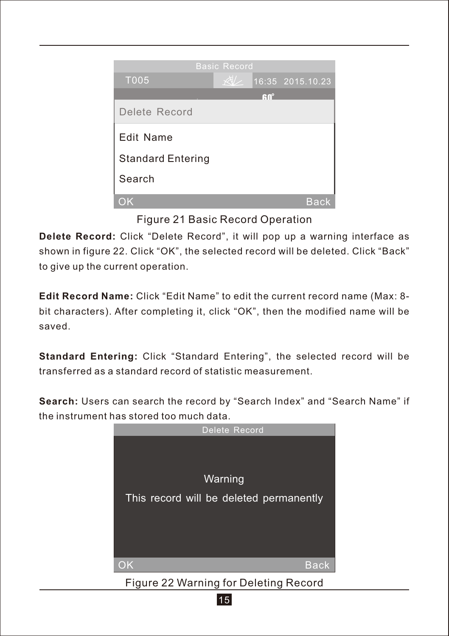

## Figure 21 Basic Record Operation

**Delete Record:** Click "Delete Record", it will pop up a warning interface as shown in figure 22. Click "OK", the selected record will be deleted. Click "Back" to give up the current operation.

**Edit Record Name:** Click "Edit Name" to edit the current record name (Max: 8 bit characters). After completing it, click "OK", then the modified name will be saved.

**Standard Entering:** Click "Standard Entering", the selected record will be transferred as a standard record of statistic measurement.

**Search:** Users can search the record by "Search Index" and "Search Name" if the instrument has stored too much data.



15 Figure 22 Warning for Deleting Record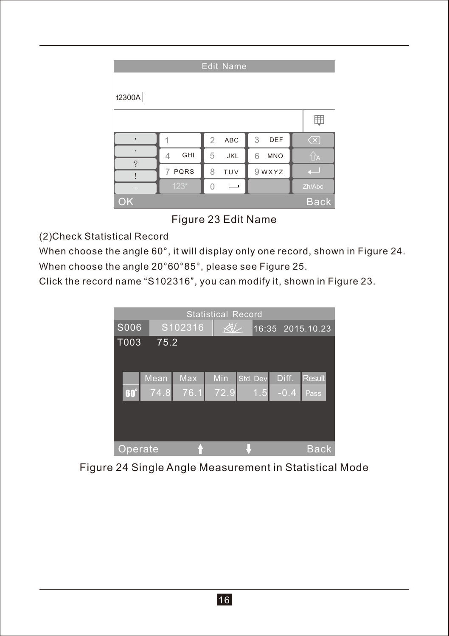| <b>Edit Name</b>         |           |                       |                 |                                                   |  |  |  |
|--------------------------|-----------|-----------------------|-----------------|---------------------------------------------------|--|--|--|
| t2300A                   |           |                       |                 |                                                   |  |  |  |
|                          |           |                       |                 | 賱                                                 |  |  |  |
| $\overline{\phantom{a}}$ |           | $\overline{2}$<br>ABC | 3<br>DEF        | $\left\langle \overline{\mathsf{x}}\right\rangle$ |  |  |  |
| ٠<br>?                   | GHI<br>4  | 5<br>JKL              | <b>MNO</b><br>6 | ÛA                                                |  |  |  |
|                          | PQRS<br>7 | TUV<br>8              | 9 WXYZ          |                                                   |  |  |  |
|                          | $123*$    |                       |                 | Zh/Abc                                            |  |  |  |
| OK                       |           |                       |                 | <b>Back</b>                                       |  |  |  |

## Figure 23 Edit Name

(2) Check Statistical Record

When choose the angle 60°, it will display only one record, shown in Figure 24. When choose the angle 20°60°85°, please see Figure 25.

Click the record name "S102316", you can modify it, shown in Figure 23.



Figure 24 Single Angle Measurement in Statistical Mode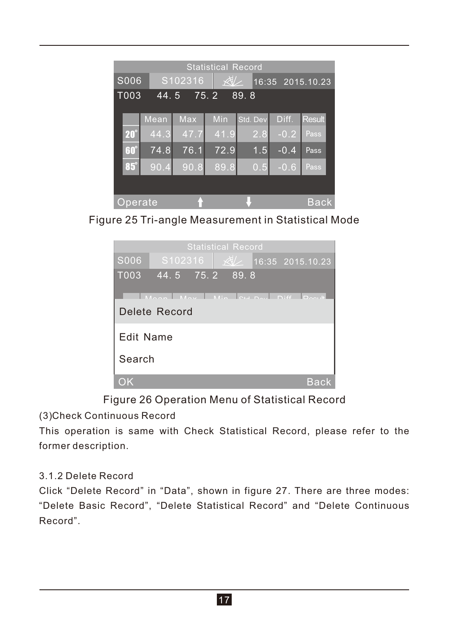|            | <b>Statistical Record</b>    |                                            |      |                  |                   |               |  |
|------------|------------------------------|--------------------------------------------|------|------------------|-------------------|---------------|--|
| S006       |                              | $\forall t$<br>S102316<br>16:35 2015.10.23 |      |                  |                   |               |  |
|            | T003<br>89.8<br>44.5<br>75.2 |                                            |      |                  |                   |               |  |
|            |                              |                                            |      |                  |                   |               |  |
|            | Mean                         | Max                                        | Min  | Std. Dev         | Diff.             | <b>Result</b> |  |
| $20^\circ$ | 44.3                         | 47.7                                       | 41.9 | 2.8              | $-0.2$            | Pass          |  |
| 60°        | 74.8                         | 76.1                                       | 72.9 | 1.5              | $-0.4$            | Pass          |  |
| $85^\circ$ | 90.4                         | 90.8                                       | 89.8 | $0.\overline{5}$ | $-0.\overline{6}$ | Pass          |  |
|            |                              |                                            |      |                  |                   |               |  |
| Operate    |                              |                                            |      |                  |                   | Back          |  |

Figure 25 Tri-angle Measurement in Statistical Mode



## Figure 26 Operation Menu of Statistical Record

(3) Check Continuous Record

This operation is same with Check Statistical Record, please refer to the former description.

#### 3.1.2 Delete Record

Click "Delete Record" in "Data", shown in figure 27. There are three modes: "Delete Basic Record", "Delete Statistical Record" and "Delete Continuous Record".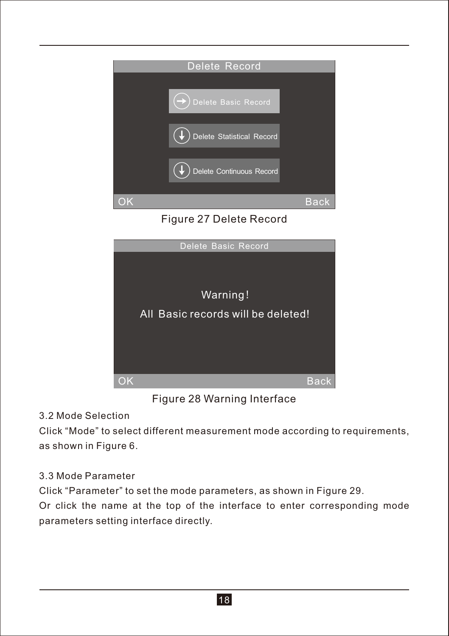

Figure 27 Delete Record



Figure 28 Warning Interface

## 3.2 Mode Selection

Click "Mode" to select different measurement mode according to requirements, as shown in Figure 6.

## 3.3 Mode Parameter

Click "Parameter" to set the mode parameters, as shown in Figure 29.

Or click the name at the top of the interface to enter corresponding mode parameters setting interface directly.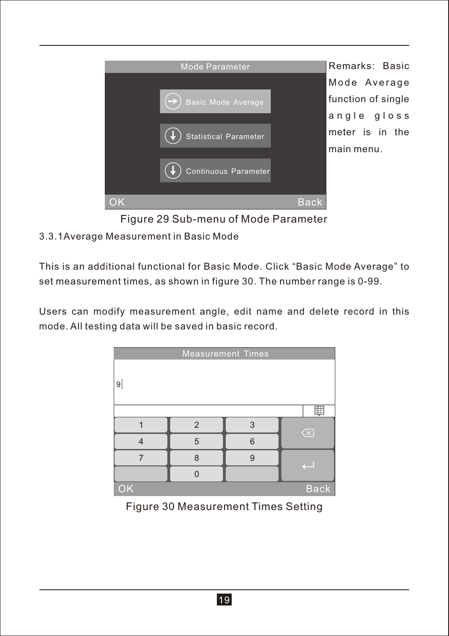

Figure 29 Sub-menu of Mode Parameter

#### 3.3.1Average Measurement in Basic Mode

This is an additional functional for Basic Mode. Click "Basic Mode Average" to set measurement times, as shown in figure 30. The number range is 0-99.

Users can modify measurement angle, edit name and delete record in this mode. All testing data will be saved in basic record.

| <b>Measurement Times</b> |   |              |                      |
|--------------------------|---|--------------|----------------------|
| 9                        |   |              |                      |
|                          |   |              |                      |
|                          | 2 | 3            | $\overline{\propto}$ |
| Δ                        | 5 | 6            |                      |
|                          | 8 | $\mathbf{Q}$ |                      |
|                          |   |              |                      |
| OK                       |   |              | <b>Back</b>          |

Figure 30 Measurement Times Setting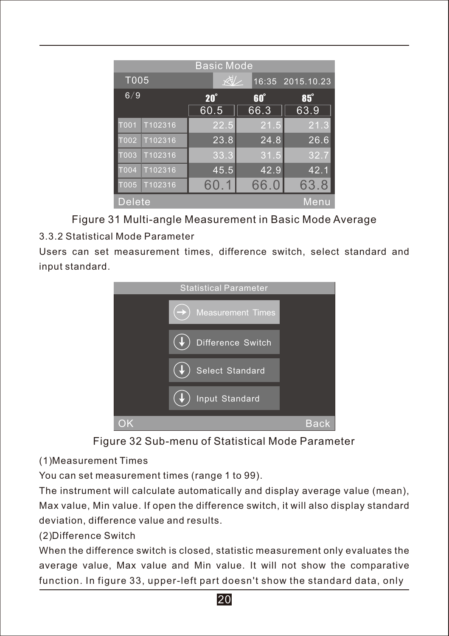| <b>Basic Mode</b> |         |                    |                    |                  |
|-------------------|---------|--------------------|--------------------|------------------|
| T005              |         | $\forall x$        |                    | 16:35 2015.10.23 |
| 6/9               |         | $20^\circ$<br>60.5 | $60^\circ$<br>66.3 | 85°<br>63.9      |
| T001              | T102316 | 22.5               | 21.5               | 21.3             |
| T002              | T102316 | 23.8               | 24.8               | 26.6             |
| T <sub>003</sub>  | T102316 | 33.3               | 31.5               | 32.7             |
| <b>T004</b>       | T102316 | 45.5               | 42.9               | 42.1             |
| IO05              | T102316 | 60.1               | 66.0               | 63.8             |
| Delete<br>Menu    |         |                    |                    |                  |

Figure 31 Multi-angle Measurement in Basic Mode Average

## 3.3.2 Statistical Mode Parameter

Users can set measurement times, difference switch, select standard and input standard.



Figure 32 Sub-menu of Statistical Mode Parameter

(1) Measurement Times

You can set measurement times (range 1 to 99).

The instrument will calculate automatically and display average value (mean), Max value, Min value. If open the difference switch, it will also display standard deviation, difference value and results.

## (2) Difference Switch

When the difference switch is closed, statistic measurement only evaluates the average value, Max value and Min value. It will not show the comparative function. In figure 33, upper-left part doesn't show the standard data, only

20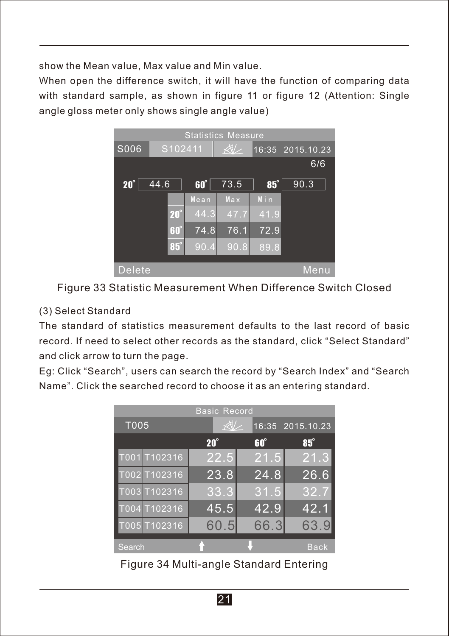show the Mean value, Max value and Min value.

When open the difference switch, it will have the function of comparing data with standard sample, as shown in figure 11 or figure 12 (Attention: Single angle gloss meter only shows single angle value)



Figure 33 Statistic Measurement When Difference Switch Closed

#### (3) Select Standard

The standard of statistics measurement defaults to the last record of basic record. If need to select other records as the standard, click "Select Standard" and click arrow to turn the page.

Eg: Click "Search", users can search the record by "Search Index" and "Search Name". Click the searched record to choose it as an entering standard.

| <b>Basic Record</b> |             |            |                  |
|---------------------|-------------|------------|------------------|
| T005                | $\forall x$ |            | 16:35 2015.10.23 |
|                     | $20^\circ$  | $60^\circ$ | $85^\circ$       |
| T001 T102316        | 22.5        | 21.5       | 21.3             |
| T002 T102316        | 23.8        | 24.8       | 26.6             |
| T003 T102316        | 33.3        | 31.5       | 32.7             |
| T004 T102316        | 45.5        | 42.9       | 42.1             |
| T005 T102316        | 60.5        | 66.3       | 63.9             |
| Search              |             |            | <b>Back</b>      |

Figure 34 Multi-angle Standard Entering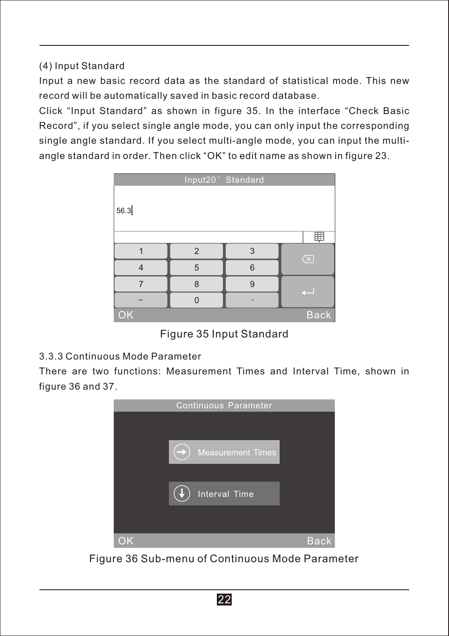(4)Input Standard

Input a new basic record data as the standard of statistical mode. This new record will be automatically saved in basic record database.

Click "Input Standard" as shown in figure 35. In the interface "Check Basic Record", if you select single angle mode, you can only input the corresponding single angle standard. If you select multi-angle mode, you can input the multiangle standard in order. Then click "OK" to edit name as shown in figure 23.

|                   | Input20° Standard |   |           |
|-------------------|-------------------|---|-----------|
| 56.3              |                   |   |           |
|                   |                   |   | 盽         |
|                   | $\overline{2}$    | 3 | $\otimes$ |
| $\overline{4}$    | 5                 | 6 |           |
| $\overline{7}$    | 8                 | 9 |           |
|                   |                   | ٠ |           |
| OK<br><b>Back</b> |                   |   |           |

Figure 35 Input Standard

#### 3.3.3 Continuous Mode Parameter

There are two functions: Measurement Times and Interval Time, shown in figure 36 and 37.



Figure 36 Sub-menu of Continuous Mode Parameter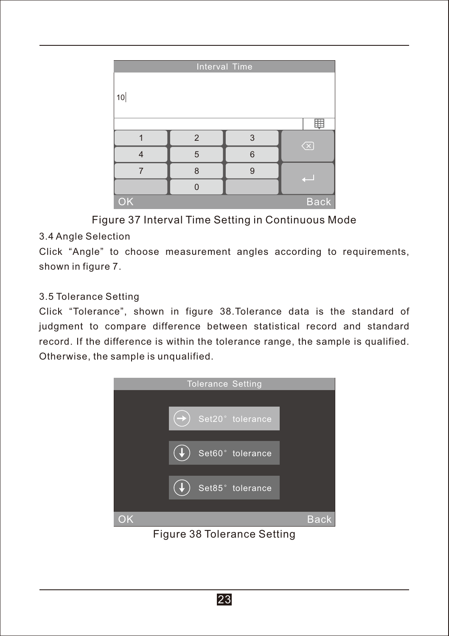| Interval Time     |                |   |                         |
|-------------------|----------------|---|-------------------------|
| 10                |                |   |                         |
| 匪                 |                |   |                         |
|                   | $\overline{2}$ | 3 | $\overline{\mathsf{X}}$ |
| $\overline{4}$    | 5              | 6 |                         |
| 7                 | 8              | 9 |                         |
|                   |                |   |                         |
| OK<br><b>Back</b> |                |   |                         |

Figure 37 Interval Time Setting in Continuous Mode

## 3.4 Angle Selection

Click "Angle" to choose measurement angles according to requirements, shown in figure 7.

## 3.5 Tolerance Setting

Click "Tolerance", shown in figure 38.Tolerance data is the standard of judgment to compare difference between statistical record and standard record. If the difference is within the tolerance range, the sample is qualified. Otherwise, the sample is unqualified.



Figure 38 Tolerance Setting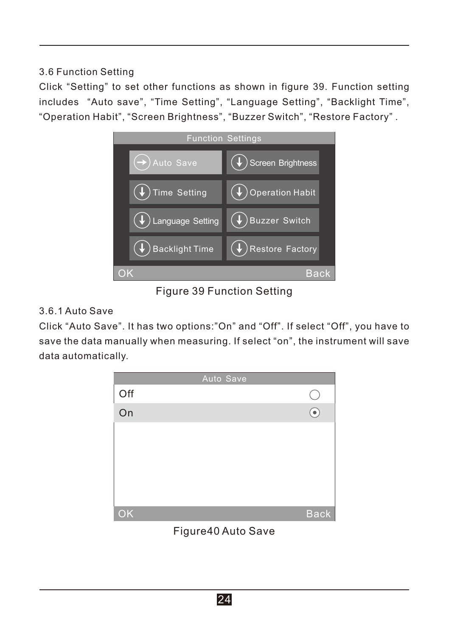## 3.6 Function Setting

Click "Setting" to set other functions as shown in figure 39. Function setting includes "Auto save", "Time Setting", "Language Setting", "Backlight Time", "Operation Habit", "Screen Brightness", "Buzzer Switch", "Restore Factory" .



Figure 39 Function Setting

### 3.6.1 Auto Save

Click "Auto Save". It has two options:"On" and "Off". If select "Off", you have to save the data manually when measuring. If select "on", the instrument will save data automatically.



Figure40 Auto Save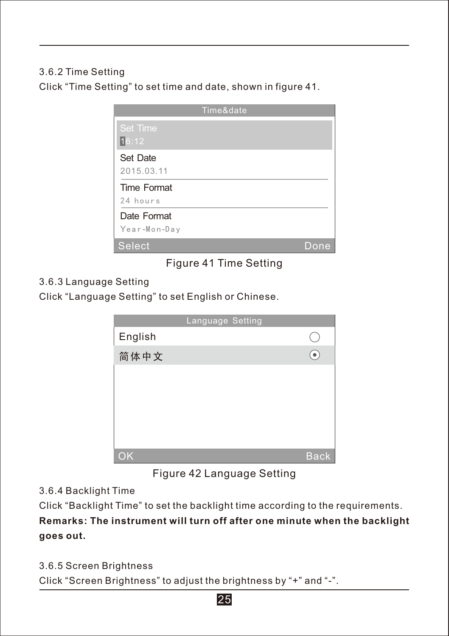### 3.6.2 Time Setting

Click "Time Setting" to set time and date, shown in figure 41.

| Time&date          |      |
|--------------------|------|
| <b>Set Time</b>    |      |
| 16:12              |      |
| Set Date           |      |
| 2015.03.11         |      |
| <b>Time Format</b> |      |
| 24 hours           |      |
| Date Format        |      |
| Year-Mon-Day       |      |
| <b>Select</b>      | Done |

## Figure 41 Time Setting

#### 3.6.3 Language Setting

Click "Language Setting" to set English or Chinese.

|         | Language Setting |             |
|---------|------------------|-------------|
| English |                  |             |
| 简体中文    |                  |             |
|         |                  |             |
|         |                  |             |
|         |                  |             |
|         |                  |             |
|         |                  |             |
| OK      |                  | <b>Back</b> |

## Figure 42 Language Setting

#### 3.6.4 Backlight Time

Click "Backlight Time" to set the backlight time according to the requirements.

## **Remarks: The instrument will turn off after one minute when the backlight goes out.**

3.6.5 Screen Brightness

Click "Screen Brightness" to adjust the brightness by "+" and "-".

#### 25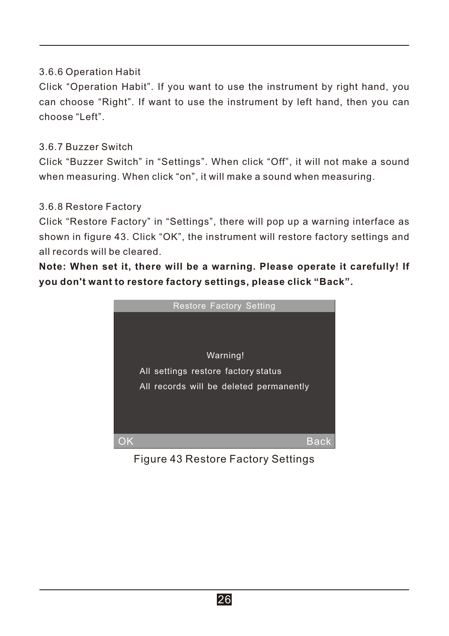### 3.6.6 Operation Habit

Click "Operation Habit". If you want to use the instrument by right hand, you can choose "Right". If want to use the instrument by left hand, then you can choose "Left".

#### 3.6.7 Buzzer Switch

Click "Buzzer Switch" in "Settings". When click "Off", it will not make a sound when measuring. When click "on", it will make a sound when measuring.

#### 3.6.8 Restore Factory

Click "Restore Factory" in "Settings", there will pop up a warning interface as shown in figure 43. Click "OK", the instrument will restore factory settings and all records will be cleared.

**Note: When set it, there will be a warning. Please operate it carefully! If you don't want to restore factory settings, please click "Back".**



Figure 43 Restore Factory Settings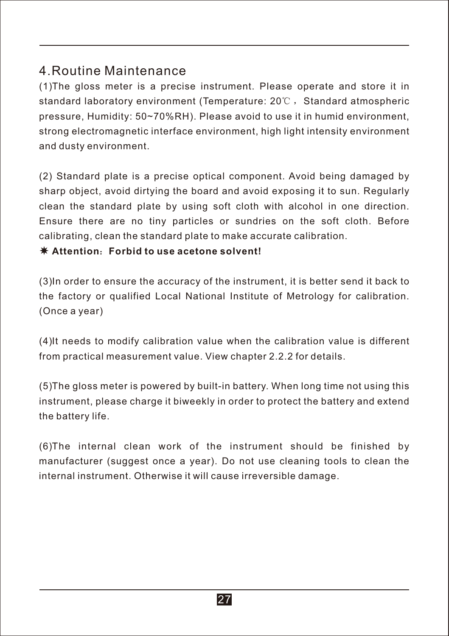## 4.Routine Maintenance

(1) The gloss meter is a precise instrument. Please operate and store it in standard laboratory environment (Temperature:  $20^{\circ}$ C, Standard atmospheric pressure, Humidity: 50~70%RH). Please avoid to use it in humid environment, strong electromagnetic interface environment, high light intensity environment and dusty environment.

(2) Standard plate is a precise optical component. Avoid being damaged by sharp object, avoid dirtying the board and avoid exposing it to sun. Regularly clean the standard plate by using soft cloth with alcohol in one direction. Ensure there are no tiny particles or sundries on the soft cloth. Before calibrating, clean the standard plate to make accurate calibration.

#### **Attention**:**Forbid to use acetone solvent!**

(3) In order to ensure the accuracy of the instrument, it is better send it back to the factory or qualified Local National Institute of Metrology for calibration. (Once a year)

(4) It needs to modify calibration value when the calibration value is different from practical measurement value. View chapter 2.2.2 for details.

(5) The gloss meter is powered by built-in battery. When long time not using this instrument, please charge it biweekly in order to protect the battery and extend the battery life.

(6) The internal clean work of the instrument should be finished by manufacturer (suggest once a year). Do not use cleaning tools to clean the internal instrument. Otherwise it will cause irreversible damage.

27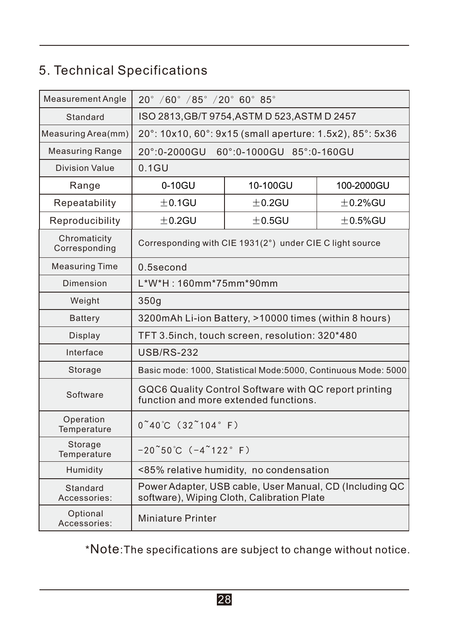## 5. Technical Specifications

| <b>Measurement Angle</b>      | $20^{\circ}$ /60° /85° /20° 60° 85°                                                                   |             |              |
|-------------------------------|-------------------------------------------------------------------------------------------------------|-------------|--------------|
| Standard                      | ISO 2813, GB/T 9754, ASTM D 523, ASTM D 2457                                                          |             |              |
| Measuring Area(mm)            | 20°: 10x10, 60°: 9x15 (small aperture: 1.5x2), 85°: 5x36                                              |             |              |
| <b>Measuring Range</b>        | $20^{\circ}$ :0-2000GU<br>60°:0-1000GU 85°:0-160GU                                                    |             |              |
| Division Value                | 0.1GU                                                                                                 |             |              |
| Range                         | 0-10GU<br>10-100GU<br>100-2000GU                                                                      |             |              |
| Repeatability                 | $±0.1$ GU                                                                                             | $±0.2$ GU   | $\pm$ 0.2%GU |
| Reproducibility               | $±0.2$ GU                                                                                             | $\pm$ 0.5GU | $\pm$ 0.5%GU |
| Chromaticity<br>Corresponding | Corresponding with CIE 1931(2°) under CIE C light source                                              |             |              |
| <b>Measuring Time</b>         | 0.5second                                                                                             |             |              |
| Dimension                     | L*W*H: 160mm*75mm*90mm                                                                                |             |              |
| Weight                        | 350q                                                                                                  |             |              |
| <b>Battery</b>                | 3200mAh Li-ion Battery, >10000 times (within 8 hours)                                                 |             |              |
| Display                       | TFT 3.5inch, touch screen, resolution: 320*480                                                        |             |              |
| Interface                     | <b>USB/RS-232</b>                                                                                     |             |              |
| Storage                       | Basic mode: 1000, Statistical Mode: 5000, Continuous Mode: 5000                                       |             |              |
| Software                      | GQC6 Quality Control Software with QC report printing<br>function and more extended functions.        |             |              |
| Operation<br>Temperature      | $0^{\circ}40^{\circ}C$ (32 $^{\circ}104^{\circ}F$ )                                                   |             |              |
| Storage<br>Temperature        | $-20°50°C (-4°122° F)$                                                                                |             |              |
| Humidity                      | <85% relative humidity, no condensation                                                               |             |              |
| Standard<br>Accessories:      | Power Adapter, USB cable, User Manual, CD (Including QC<br>software), Wiping Cloth, Calibration Plate |             |              |
| Optional<br>Accessories:      | <b>Miniature Printer</b>                                                                              |             |              |

\*Note:The specifications are subject to change without notice.